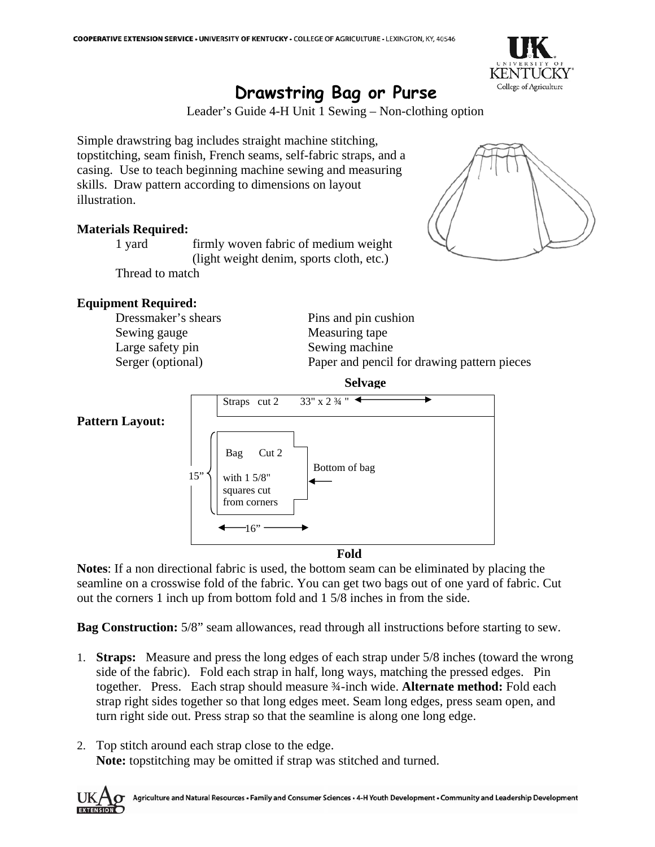

## **Drawstring Bag or Purse**

Leader's Guide 4-H Unit 1 Sewing – Non-clothing option

Simple drawstring bag includes straight machine stitching, topstitching, seam finish, French seams, self-fabric straps, and a casing. Use to teach beginning machine sewing and measuring skills. Draw pattern according to dimensions on layout illustration.

## **Materials Required:**

 1 yard firmly woven fabric of medium weight (light weight denim, sports cloth, etc.) Thread to match

## **Equipment Required:**

Sewing gauge Measuring tape Large safety pin Sewing machine

Dressmaker's shears Pins and pin cushion Serger (optional) Paper and pencil for drawing pattern pieces



**Fold**

**Notes**: If a non directional fabric is used, the bottom seam can be eliminated by placing the seamline on a crosswise fold of the fabric. You can get two bags out of one yard of fabric. Cut out the corners 1 inch up from bottom fold and 1 5/8 inches in from the side.

**Bag Construction:**  $5/8$ " seam allowances, read through all instructions before starting to sew.

- 1. **Straps:** Measure and press the long edges of each strap under 5/8 inches (toward the wrong side of the fabric). Fold each strap in half, long ways, matching the pressed edges. Pin together. Press. Each strap should measure ¾-inch wide. **Alternate method:** Fold each strap right sides together so that long edges meet. Seam long edges, press seam open, and turn right side out. Press strap so that the seamline is along one long edge.
- 2. Top stitch around each strap close to the edge. **Note:** topstitching may be omitted if strap was stitched and turned.



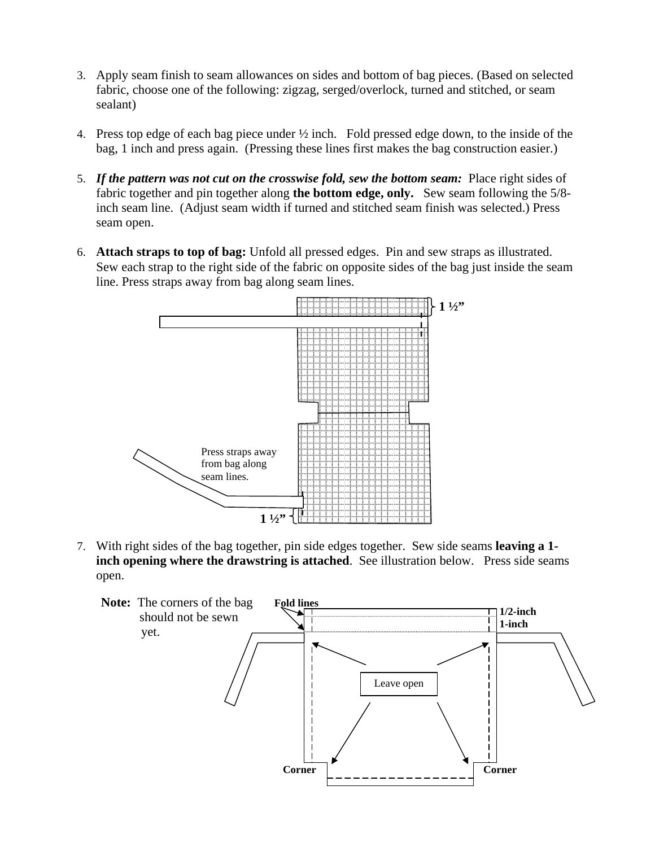- 3. Apply seam finish to seam allowances on sides and bottom of bag pieces. (Based on selected fabric, choose one of the following: zigzag, serged/overlock, turned and stitched, or seam sealant)
- 4. Press top edge of each bag piece under ½ inch. Fold pressed edge down, to the inside of the bag, 1 inch and press again. (Pressing these lines first makes the bag construction easier.)
- 5. *If the pattern was not cut on the crosswise fold, sew the bottom seam:* Place right sides of fabric together and pin together along **the bottom edge, only.** Sew seam following the 5/8 inch seam line. (Adjust seam width if turned and stitched seam finish was selected.) Press seam open.
- 6. **Attach straps to top of bag:** Unfold all pressed edges. Pin and sew straps as illustrated. Sew each strap to the right side of the fabric on opposite sides of the bag just inside the seam line. Press straps away from bag along seam lines.



7. With right sides of the bag together, pin side edges together. Sew side seams **leaving a 1 inch opening where the drawstring is attached.** See illustration below. Press side seams open.